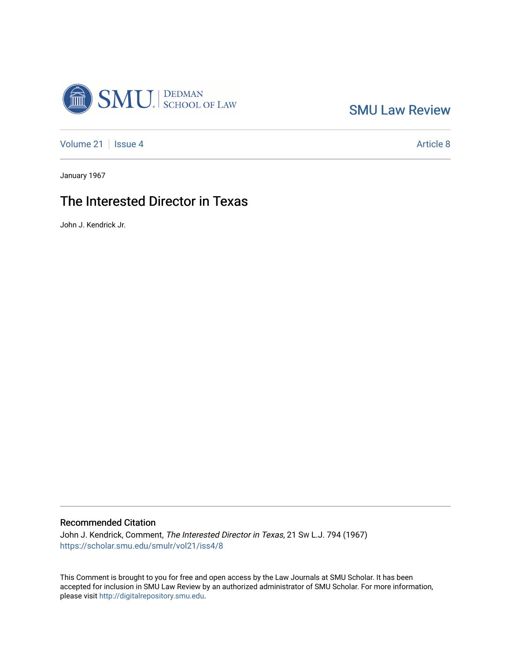

[SMU Law Review](https://scholar.smu.edu/smulr) 

[Volume 21](https://scholar.smu.edu/smulr/vol21) | [Issue 4](https://scholar.smu.edu/smulr/vol21/iss4) Article 8

January 1967

# The Interested Director in Texas

John J. Kendrick Jr.

## Recommended Citation

John J. Kendrick, Comment, The Interested Director in Texas, 21 Sw L.J. 794 (1967) [https://scholar.smu.edu/smulr/vol21/iss4/8](https://scholar.smu.edu/smulr/vol21/iss4/8?utm_source=scholar.smu.edu%2Fsmulr%2Fvol21%2Fiss4%2F8&utm_medium=PDF&utm_campaign=PDFCoverPages) 

This Comment is brought to you for free and open access by the Law Journals at SMU Scholar. It has been accepted for inclusion in SMU Law Review by an authorized administrator of SMU Scholar. For more information, please visit [http://digitalrepository.smu.edu.](http://digitalrepository.smu.edu/)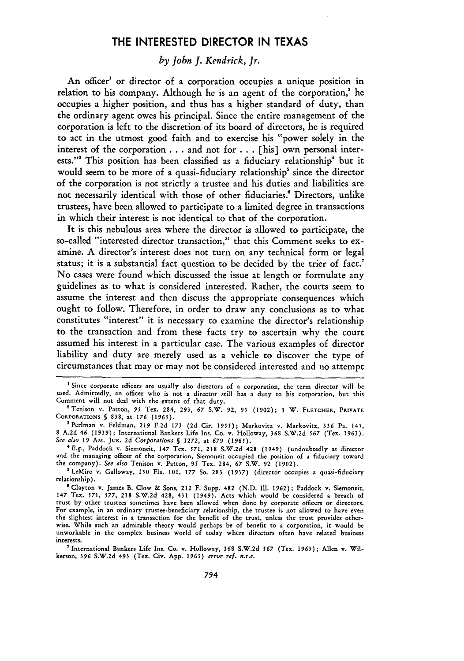# THE **INTERESTED** DIRECTOR **IN TEXAS**

## *by Jobn J. Kendrick, Jr.*

An officer' or director of a corporation occupies a unique position in relation to his company. Although he is an agent of the corporation,' he occupies a higher position, and thus has a higher standard of duty, than the ordinary agent owes his principal. Since the entire management of the corporation is left to the discretion of its board of directors, he is required to act in the utmost good faith and to exercise his "power solely in the interest of the corporation **...** and not for **...** [his] own personal interests."' This position has been classified as a fiduciary relationship" but it would seem to be more of a quasi-fiduciary relationship' since the director of the corporation is not strictly a trustee and his duties and liabilities are not necessarily identical **with** those of other fiduciaries.! Directors, unlike trustees, have been allowed to participate to a limited degree in transactions in which their interest is not identical to that of the corporation.

It is this nebulous area where the director is allowed to participate, the so-called "interested director transaction," that this Comment seeks to examine. **A** director's interest does not turn on any technical form or legal status; it is a substantial fact question to be decided **by** the trier of fact.' No cases were found which discussed the issue at length or formulate any guidelines as to what is considered interested. Rather, the courts seem to assume the interest and then discuss the appropriate consequences which ought to follow. Therefore, in order to draw any conclusions as to what constitutes "interest" it is necessary to examine the director's relationship to the transaction and from these facts try to ascertain why the court assumed his interest in a particular case. The various examples of director liability and duty are merely used as a vehicle to discover the type of circumstances that may or may not be considered interested and no attempt

'International Bankers Life Ins. Co. v. Holloway, **368** S.W.2d **567** (Tex. 1963); Allen v. Wilkerson, **396** S.W.2d 493 (Tex. Civ. App. **1965)** *error ref. n.r.e.*

**<sup>&#</sup>x27;** Since corporate officers are usually also directors of a corporation, the term director will be used. Admittedly, an officer who is not a director still has a duty to his corporation, but this Comment will not deal with the extent of that duty.

**<sup>2</sup>** Tenison v. Patton, **95** Tex. 284, **293,** *67* S.W. **92, 95 (1902);** 3 W. **FLETCHER, PRIVATE** CORPORATIONS **§ 838,** at **176** *(1965).* <sup>3</sup> Perlman v. Feldman, **219 F.2d 173 (2d** Cir. **1955);** Markovitz v. Markovitz, **336** Pa. 145,

**<sup>8</sup> A.2d** 46 **(1939);** International Bankers Life Ins. Co. v. Holloway, **368 S.W.2d 567** (Tex. **1963).** *See also 19* AM. **JUR. 2d** *Corporations §* **1272,** at **679 (1965).**

**<sup>4</sup>E.g.,** Paddock v. Siemoneit, 147 Tex. **571,** 218 **S.W.2d** 428 (1949) (undoubtedly as director and the managing officer of the corporation, Siemoneit occupied the position of a fiduciary toward the company). *See also* Tenison v. Patton, **95** Tex. 284, **67** S.W. **92 (1902).**

<sup>5</sup>LeMire **v.** Galloway, **130** Fla. **101, 177** So. **283 (1937)** (director occupies a quasi-fiduciary relationship).

<sup>&</sup>lt;sup>6</sup> Clayton v. James B. Clow & Sons, 212 F. Supp. 482 (N.D. Ill. 1962); Paddock v. Siemoneit, 147 Tex. **571,** *577,* 218 **S.W.2d** 428, 431 (1949). Acts which would be considered a breach of trust **by** other trustees sometimes have been allowed when done **by** corporate officers or directors. For example, in an ordinary trustee-beneficiary relationship, the trustee is not allowed to have even **the** slightest interest in a transaction for the benefit of the trust, unless the trust provides otherwise. While such an admirable theory would perhaps be of benefit **to** a corporation, it would be unworkable in the complex business world of today where directors often have related business **interests.**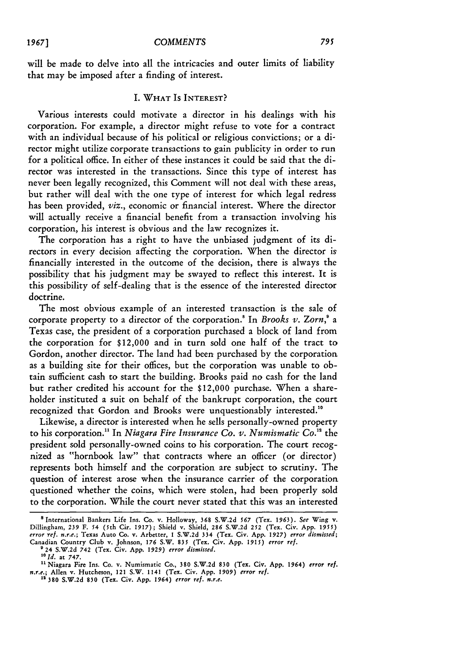will be made to delve into all the intricacies and outer limits of liability that may be imposed after a finding of interest.

## I. **WHAT** IS **INTEREST?**

Various interests could motivate a director in his dealings with his corporation. For example, a director might refuse to vote for a contract with an individual because of his political or religious convictions; or a director might utilize corporate transactions to gain publicity in order to run for a political office. In either of these instances it could be said that the director was interested in the transactions. Since this type of interest has never been legally recognized, this Comment will not deal with these areas, but rather will deal with the one type of interest for which legal redress has been provided, *viz.,* economic or financial interest. Where the director will actually receive a financial benefit from a transaction involving his corporation, his interest is obvious and the law recognizes it.

The corporation has a right to have the unbiased judgment of its directors in every decision affecting the corporation. When the director is financially interested in the outcome of the decision, there is always the possibility that his judgment may be swayed to reflect this interest. It is this possibility of self-dealing that is the essence of the interested director doctrine.

The most obvious example of an interested transaction is the sale of corporate property to a director of the corporation.8 In *Brooks v. Zorn,'* a Texas case, the president of a corporation purchased a block of land from the corporation for \$12,000 and in turn sold one half of the tract to Gordon, another director. The land had been purchased by the corporation as a building site for their offices, but the corporation was unable to obtain sufficient cash to start the building. Brooks paid no cash for the land but rather credited his account for the \$12,000 purchase. When a shareholder instituted a suit on behalf of the bankrupt corporation, the court recognized that Gordon and Brooks were unquestionably interested.<sup>10</sup>

Likewise, a director is interested when he sells personally-owned property to his corporation.1 In *Niagara Fire Insurance Co. v. Numismatic Co."* the president sold personally-owned coins to his corporation. The court recognized as "hornbook law" that contracts where an officer (or director) represents both himself and the corporation are subject to scrutiny. The question of interest arose when the insurance carrier of the corporation questioned whether the coins, which were stolen, had been properly sold to the corporation. While the court never stated that this was an interested

**<sup>&#</sup>x27;** International Bankers **Life** Ins. **Co.** v. Holloway, **368 S.W.2d 567** (Tex. **1963).** *See* Wing v. Dillingham, **239** F. 54 (5th Cir. **1917);** Shield v. Shield, **286 S.W.2d 252** (Tex. Civ. **App. 1955)** *error ret. n.r.e.;* Texas Auto **Co.** v. Arbetter, **I S.W.2d** 334 (Tex. Civ. **App. 1927)** *error dismissed;* Canadian Country Club v. Johnson, **176** S.W. *835* (Tex. Civ. **App.** *1915) error ref.* **<sup>0</sup>**24 **S.W.2d** 742 (Tex. Civ. **App.** *1929) error dismissed.*

*<sup>10</sup> Id.* **at 747.**

**<sup>&</sup>quot;'Niagara Fire** Ins. **Co.** v. Numismatic **Co., 380 S.W.2d 830** (Tex. **Civ. App. 1964)** *error ref. n.r.e.;* Allen v. Hutcheson, 121 S.W. 1141 (Tex. Civ. **App. 1909)** *error ref.* <sup>12</sup>**380 S.W.2d 830** (Tex. **Civ. App. 1964)** *error ref. n.r.e.*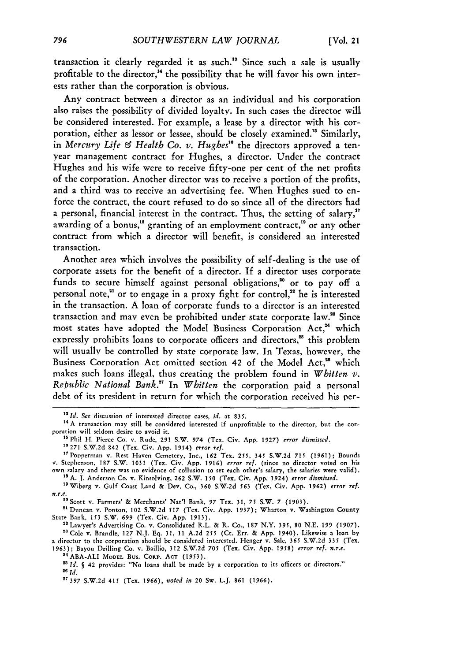transaction it clearly regarded it as such.<sup>13</sup> Since such a sale is usually profitable to the director,<sup>14</sup> the possibility that he will favor his own interests rather than the corporation is obvious.

Any contract between a director as an individual and his corporation also raises the possibility of divided loyalty. In such cases the director will be considered interested. For example, a lease by a director with his corporation, either as lessor or lessee, should be closely examined.<sup>15</sup> Similarly, in *Mercury Life & Health Co. v. Hughes"* the directors approved a tenyear management contract for Hughes, a director. Under the contract Hughes and his wife were to receive fifty-one per cent of the net profits of the corporation. Another director was to receive a portion **of** the profits, and a third was to receive an advertising fee. When Hughes sued to enforce the contract, the court refused to do so since all of the directors had a personal, financial interest in the contract. Thus, the setting of salary,' awarding of a bonus,<sup>18</sup> granting of an employment contract,<sup>19</sup> or any other contract from which a director will benefit, is considered an interested transaction.

Another area which involves the possibility of self-dealing is the use of corporate assets for the benefit of a director. **If** a director uses corporate funds to secure himself against personal obligations, $20$  or to pay off a personal note," or to engage in a proxy fight for control," he is interested in the transaction. **A** loan of corporate funds to a director is an interested transaction and may even be prohibited under state corporate law.<sup>28</sup> Since most states have adopted the Model Business Corporation Act.<sup>24</sup> which expressly prohibits loans to corporate officers and directors,<sup>25</sup> this problem will usually be controlled **by** state corporate law. In Texas, however, the Business Corporation Act omitted section 42 of the Model Act,<sup>26</sup> which makes such loans illegal, thus creating the problem found in *Whitten*  $\nu$ . *Rehublic National Bank."* In *Whitten* the corporation paid a personal debt of its president in return for which the corporation received his per-

<sup>&</sup>lt;sup>13</sup> Id. *See* discussion of interested director cases, *id.* at 835.<br><sup>14</sup> A transaction may still be considered interested if unprofitable to the director, but the corporation will seldom desire to avoid it.

<sup>&</sup>lt;sup>15</sup> Phil H. Pierce Co. v. Rude, 291 S.W. 974 (Tex. Civ. App. 1927) *error dismissed*.

**<sup>10271</sup>** S.W.2d 842 (Tex. Civ. App. 1954) *error ref.*

<sup>&</sup>quot;7Popperman v. Rest Haven Cemetery, Inc., **162** Tex. 255, 345 S.W.2d **715 (1961);** Bounds v. Stephenson, 187 S.W. 1031 (Tex. Civ. App. 1916) *error ref.* (since no director voted on his own salary and there was no evidence of collusion to set each other's salary, the salaries were valid). **<sup>18</sup>**A. **J.** Anderson Co. v. Kinsolving, **262** S.W. 150 (Tex. Civ. App. 1924) *error dismissed.*

<sup>&</sup>lt;sup>18</sup> A. J. Anderson Co. v. Kinsolving, 262 S.W. 150 (Tex. Civ. App. 1924) *error dismissed*.<br><sup>19</sup> Wiberg v. Gulf Coast Land & Dev. Co., 360 S.W.2d 563 (Tex. Civ. App. 1962) *error ref. n.r.e.*

<sup>&</sup>lt;sup>20</sup> Scott v. Farmers' & Merchants' Nat'l Bank, 97 Tex. 31, 75 S.W. 7 (1903)

<sup>&</sup>lt;sup>21</sup> Duncan v. Ponton, 102 S.W.2d 517 (Tex. Civ. App. 1937); Wharton v. Washington County State Bank, 153 S.W. 699 (Tex. Civ. App. 1913).

<sup>&</sup>lt;sup>22</sup> Lawyer's Advertising Co. v, Consolidated R.L. & R. Co., 187 N.Y. 395, 80 N.E. 199 (1907). **"a** Cole v. Brandle, 127 N.J. Eq. 31, 11 A.2d 255 (Ct. Err. & App. 1940). Likewise a loan by a director to the corporation should be considered interested. Henger v. Sale, **365** S.W.2d 335 (Tex.

<sup>1963);</sup> Bayou Drilling Co. v. Baillio, 312 S.W.2d *705* (Tex. Civ. App. 1958) *error ref. n.r.e.* **1 <sup>4</sup> ABA-ALI MODEL** Bus. CORP. **ACT (1953).**

*<sup>&</sup>quot;Id. S* 42 provides: "No loans shall be made by a corporation to its officers or directors." *<sup>26</sup>Id.*

**<sup>2&#</sup>x27;397** S.W.2d 415 (Tex. 1966), *noted in* 20 Sw. L.J. *861* (1966).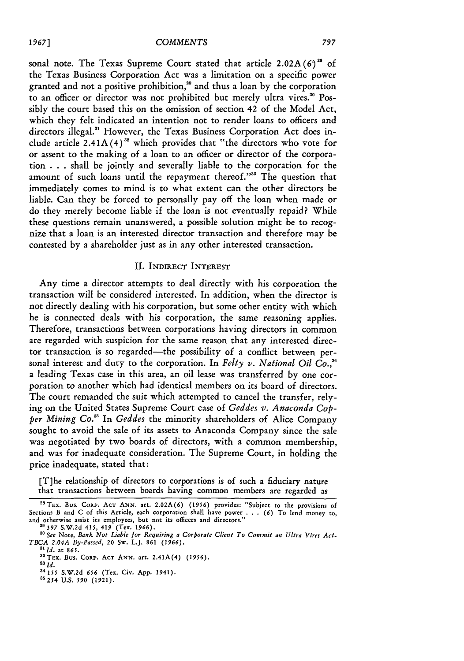sonal note. The Texas Supreme Court stated that article  $2.02A(6)^{28}$  of the Texas Business Corporation Act was a limitation on a specific power granted and not a positive prohibition," and thus a loan by the corporation to an officer or director was not prohibited but merely ultra vires.<sup>30</sup> Possibly the court based this on the omission of section 42 of the Model Act, which they felt indicated an intention not to render loans to officers and directors illegal." However, the Texas Business Corporation Act does include article  $2.41A(4)^{32}$  which provides that "the directors who vote for or assent to the making of a loan to an officer or director of the corporation . . . shall be jointly and severally liable to the corporation for the amount of such loans until the repayment thereof."<sup>33</sup> The question that immediately comes to mind is to what extent can the other directors be liable. Can they be forced to personally pay off the loan when made or do they merely become liable if the loan is not eventually repaid? While these questions remain unanswered, a possible solution might be to recognize that a loan is an interested director transaction and therefore may be contested by a shareholder just as in any other interested transaction.

## II. INDIRECT INTEREST

Any time a director attempts to deal directly with his corporation the transaction will be considered interested. In addition, when the director is not directly dealing with his corporation, but some other entity with which he is connected deals with his corporation, the same reasoning applies. Therefore, transactions between corporations having directors in common are regarded with suspicion for the same reason that any interested director transaction is so regarded-the possibility of a conflict between personal interest and duty to the corporation. In *Felty v. National Oil*  $\dot{Co.}^{34}$ a leading Texas case in this area, an oil lease was transferred by one corporation to another which had identical members on its board of directors. The court remanded the suit which attempted to cancel the transfer, relying on the United States Supreme Court case of *Geddes v. Anaconda Copper Mining Co."* In *Geddes* the minority shareholders of Alice Company sought to avoid the sale of its assets to Anaconda Company since the sale was negotiated by two boards of directors, with a common membership, and was for inadequate consideration. The Supreme Court, in holding the price inadequate, stated that:

[T]he relationship of directors to corporations is of such a fiduciary nature that transactions between boards having common members are regarded as

<sup>2</sup> 8 TEx. Bus. **CORP. ACT ANN.** art. **2.02A(6)** (1956) provides: "Subject to the provisions **of** Sections B and C of this Article, each corporation shall have power . . . *(6)* To lend money to, and otherwise assist its employees, but not its officers and directors."

**<sup>29 397</sup>** S.W.2d 415, 419 (Tex. 1966). *'0 See* Note, *Bank Not Liable for Requiring a Corporate Client To Commit an Ultra Vires Act-TBCA 2.04A By-Passed,* 20 **Sw.** L.J. **861** (1966).

*<sup>&#</sup>x27;lid.* at **865. <sup>2</sup> <sup>2</sup>**

**TEx.** Bus. **CoRp. ACT ANN.** art. 2.41A(4) **(1956).** *<sup>3</sup>*

*<sup>3</sup>*Id. <sup>14</sup>**15 S.W.2d** *656* (Tex. Civ. **App.** 1941).

**<sup>35254</sup> U.S.** *590* **(1921).**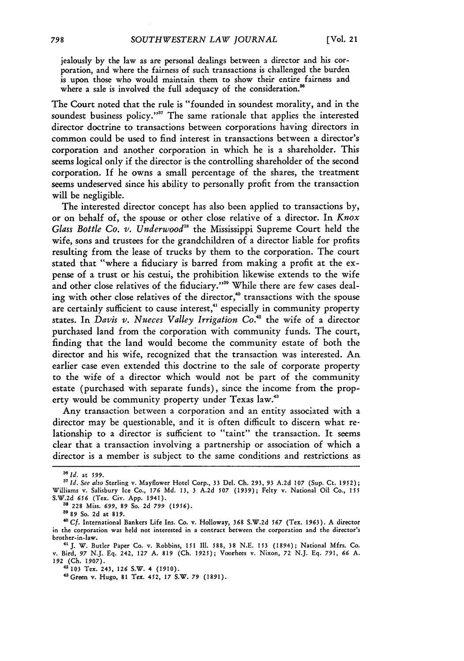jealously by the law as are personal dealings between a director and his corporation, and where the fairness of such transactions is challenged the burden is upon those who would maintain them to show their entire fairness and where a sale is involved the full adequacy of the consideration.<sup>8</sup>

The Court noted that the rule is "founded in soundest morality, and in the soundest business policy."<sup>37</sup> The same rationale that applies the interested director doctrine to transactions between corporations having directors in common could be used to find interest in transactions between a director's corporation and another corporation in which he is a shareholder. This seems logical only if the director is the controlling shareholder of the second corporation. **If** he owns a small percentage of the shares, the treatment seems undeserved since his ability to personally profit from the transaction will be negligible.

The interested director concept has also been applied to transactions by, or on behalf of, the spouse or other close relative of a director. In *Knox Glass Bottle Co. v. Underwood"s* the Mississippi Supreme Court held the wife, sons and trustees for the grandchildren of a director liable for profits resulting from the lease of trucks by them to the corporation. The court stated that "where a fiduciary is barred from making a profit at the expense of a trust or his cestui, the prohibition likewise extends to the wife and other close relatives of the fiduciary."<sup>39</sup> While there are few cases dealing with other close relatives of the director,<sup>40</sup> transactions with the spouse are certainly sufficient to cause interest,<sup>41</sup> especially in community property states. In *Davis v. Nueces Valley Irrigation Co.*<sup>42</sup> the wife of a director purchased land from the corporation with community funds. The court, finding that the land would become the community estate of both the director and his wife, recognized that the transaction was interested. An earlier case even extended this doctrine to the sale of corporate property to the wife of a director which would not be part of the community estate (purchased with separate funds), since the income from the property would be community property under Texas law."3

Any transaction between a corporation and an entity associated with a director may be questionable, and it is often difficult to discern what relationship to a director is sufficient to "taint" the transaction. It seems clear that a transaction involving a partnership or association of which a director is a member is subject to the same conditions and restrictions as

*<sup>36</sup> 1* id. *at 599.*

*<sup>&</sup>quot; Id. See also* Sterling v. Mayflower Hotel Corp., 33 Del. Ch. 293, **93** A.2d **107** (Sup. Ct. 1952); Williams v. Salisbury Ice Co., **176 Md. 13,** 3 A.2d **507** (1939); Felty v. National Oil Co., *155* S.W.2d *656* (Tex. Civ. App. 1941).

**<sup>38</sup>** 228 Miss. *699,* 89 So. 2d *799 (1956).*

**<sup>39</sup>**89 So. 2d at 819.

*<sup>&#</sup>x27;* **Cf.** International Bankers Life Ins. Co. v. Holloway, **368** S.W.2d *567* (Tex. **1963). A** director in the corporation was held not interested in a contract between the corporation and the director's brother-in-law.

*<sup>&</sup>quot;J.* W. Butler Paper Co. v. Robbins, 151 **IlI.** 588, **38** N.E. 153 (1894); National Mfrs. Co. v. Bird, *97* N.J. Eq. 242, **127** A. **819** (Ch. 1925); Voorhees v. Nixon, **72** N.J. Eq. *791,* **66** A. **192 (Ch. 1907).** 4103 Tex. 243, **126** S.W. 4 (1910). **<sup>4</sup> Green** v. Hugo, 81 Tex. 452, **17** S.W. *79* (1891).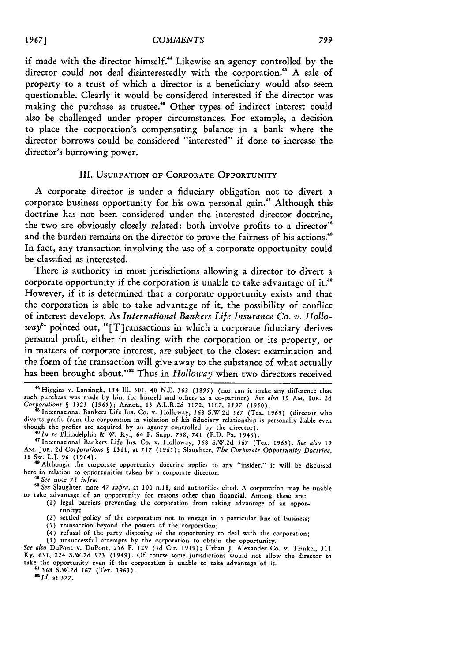if made with the director himself." Likewise an agency controlled **by** the director could not deal disinterestedly with the corporation." **A** sale of property to a trust of which a director is a beneficiary would also seem questionable. Clearly **it** would be considered interested if the director was making the purchase as trustee." Other types of indirect interest could also be challenged under proper circumstances. For example, a decision to place the corporation's compensating balance in a bank where the director borrows could be considered "interested" if done to increase the director's borrowing power.

#### III. **USURPATION OF** CORPORATE OPPORTUNITY

**A** corporate director is under a fiduciary obligation not to divert a corporate business opportunity for his own personal gain." Although this doctrine has not been considered under the interested director doctrine, the two are obviously closely related: both involve profits to a director<sup>48</sup> and the burden remains on the director to prove the fairness of his actions.<sup>49</sup> In fact, any transaction involving the use of a corporate opportunity could be classified as interested.

There is authority in most jurisdictions allowing a director to divert a corporate opportunity if the corporation is unable to take advantage of it.<sup>50</sup> However, if it is determined that a corporate opportunity exists and that the corporation is able to take advantage of it, the possibility of conflict of interest develops. As *International Bankers Life Insurance Co. v. Hollo* $way<sup>51</sup>$  pointed out, "[T] ransactions in which a corporate fiduciary derives personal profit, either in dealing with the corporation or its property, or in matters of corporate interest, are subject to the closest examination and the form of the transaction will give away to the substance of what actually has been brought about.""2 Thus in *Holloway* when two directors received

*" In re* Philadelphia & W. Ry., 64 F. Supp. 738, **741** (E.D. Pa. 1946). **<sup>1</sup>**International Bankers Life Ins. Co. v. Holloway, 368 S.W.2d *567* (Tex. 1963). *See also <sup>19</sup>* AM. JUR. 2d *Corporations §* 1311, at **717** *(1965);* Slaughter, *The Corporate Opportunity Doctrine,* **18** Sw. L.J. *96* (1964).

**<sup>48</sup>**Although the corporate opportunity doctrine applies to any "insider," **it** will be discussed here in relation to opportunities taken by a corporate director.

*4' See* note *75 infra.*

*o See* Slaughter, note 47 *supra,* at 100 n.18, and authorities cited. **A** corporation may be unable to take advantage of an opportunity for reasons other than financial. Among these are:

- (1) legal barriers preventing the corporation from taking advantage of an opportunity;
	- (2) settled policy of the corporation not to engage in a particular line of business;
	- (3) transaction beyond the powers of the corporation;
- (4) refusal of the party disposing of the opportunity to **deal** with the corporation;
- *(5)* unsuccessful attempts **by** the corporation to obtain the opportunity.

*See also* DuPont v. DuPont, **256** F. 129 **(3d** Cir. 1919); Urban J. Alexander Co. v. Trinkel, 311 Ky. 635, 224 S.W.2d 923 (1949). Of course some jurisdictions would not allow the director to take the opportunity even if **the** corporation is unable to take advantage of **it.**

*"'* **368 S.W.2d** *567* (Tex. **1963).** *ald.* at *577.*

<sup>&</sup>lt;sup>44</sup> Higgins v. Lansingh, 154 Ill. 301, 40 N.E. 362 (1895) (nor can it make any difference that such purchase was made **by** him for himself and others as a co-partner). *See* also *19* AM. **JUR.** 2d *Corporations §* 1323 (1965); Annot., **13** A.L.R.2d 1172, 1187, 1197 (1950). 45 International Bankers Life Ins. Co. v. Holloway, 368 S.W.2d *567* (Tex. 1963) (director who

diverts profit from the corporation in violation of his fiduciary relationship is personally liable even though the profits are acquired **by** an agency controlled **by** the director).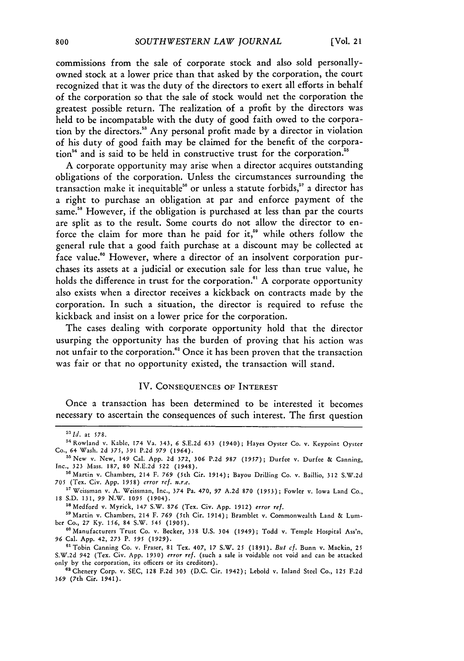commissions from the sale of corporate stock and also sold personallyowned stock at a lower price than that asked by the corporation, the court recognized that it was the duty of the directors to exert all efforts in behalf of the corporation so that the sale of stock would net the corporation the greatest possible return. The realization of a profit by the directors was held to be incompatable with the duty of good faith owed to the corporation by the directors." Any personal profit made by a director in violation of his duty of good faith may be claimed for the benefit of the corporation<sup>54</sup> and is said to be held in constructive trust for the corporation.<sup>55</sup>

A corporate opportunity may arise when a director acquires outstanding obligations of the corporation. Unless the circumstances surrounding the transaction make it inequitable<sup>56</sup> or unless a statute forbids,<sup>57</sup> a director has a right to purchase an obligation at par and enforce payment of the same.<sup>58</sup> However, if the obligation is purchased at less than par the courts are split as to the result. Some courts do not allow the director to enforce the claim for more than he paid for it,<sup>59</sup> while others follow the general rule that a good faith purchase at a discount may be collected at face value."° However, where a director of an insolvent corporation purchases its assets at a judicial or execution sale for less than true value, he holds the difference in trust for the corporation.<sup>61</sup> A corporate opportunity also exists when a director receives a kickback on contracts made by the corporation. In such a situation, the director is required to refuse the kickback and insist on a lower price for the corporation.

The cases dealing with corporate opportunity hold that the director usurping the opportunity has the burden of proving that his action was not unfair to the corporation.<sup>62</sup> Once it has been proven that the transaction was fair or that no opportunity existed, the transaction will stand.

#### IV. **CONSEQUENCES OF INTEREST**

Once a transaction has been determined to be interested it becomes necessary to ascertain the consequences of such interest. The first question

Medford v. Myrick, 147 S.W. **876** (Tex. Civ. App. 1912) *error ref.*

<sup>59</sup> Martin v. Chambers, 214 F. 769 (5th Cir. 1914); Bramblet v. Commonwealth Land & Lumber Co., 27 Ky. 156, 84 S.W. 545 (1905).

<sup>60</sup> Manufacturers Trust Co. v. Becker, 338 U.S. 304 (1949); Todd v. Temple Hospital Ass'n, **96** Cal. App. 42, **273** P. *595* (1929).

61Tobin Canning Co. v. Fraser, **81** Tex. 407, 17 S.W. 25 (1891). But *cf.* Bunn v. Mackin, 25 S.W.2d 942 (Tex. Civ. App. **1930)** *error ref.* (such a sale is voidable not void and can be attacked only by the corporation, its officers or its creditors).

<sup>62</sup> Chenery Corp. v. SEC, 128 F.2d 303 (D.C. Cir. 1942); Lebold v. Inland Steel Co., 125 F.2d **369** (7th Cir. 1941).

*<sup>5</sup> Id.* at 578.

<sup>&</sup>lt;sup>54</sup> Rowland v. Kable, 174 Va. 343, 6 S.E.2d 633 (1940); Hayes Oyster Co. v. Keypoint Oyster Co., 64 Wash. 2d 375, 391 P.2d 979 (1964).

<sup>55</sup> New v. New, 149 Cal. App. 2d 372, **306** P.2d 987 *(1957);* Durfee v. Durfee **&** Canning, Inc., 323 Mass. 187, **80** N.E.2d **522** (1948).

<sup>&</sup>lt;sup>56</sup> Martin v. Chambers, 214 F. 769 (5th Cir. 1914); Bayou Drilling Co. v. Baillio, 312 S.W.2d 705 (Tex. Civ. App. 1958) *error ref. n.r.e.*

<sup>&</sup>lt;sup>57</sup> Weissman v. A. Weissman, Inc., 374 Pa. 470, 97 A.2d 870 (1953); Fowler v. Iowa Land Co., 18 S.D. 131, 99 N.W. 1095 (1904).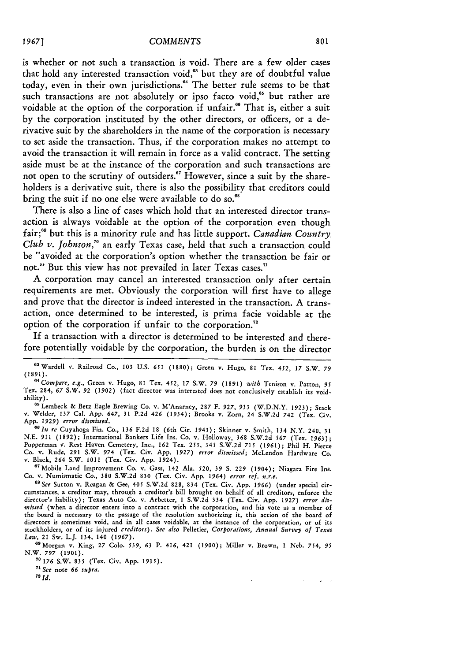is whether or not such a transaction is void. There are a few older cases that hold any interested transaction void,<sup>63</sup> but they are of doubtful value today, even in their own jurisdictions." The better rule seems to be that such transactions are not absolutely or ipso facto void,<sup>65</sup> but rather are voidable at the option of the corporation if unfair.<sup>66</sup> That is, either a suit by the corporation instituted by the other directors, or officers, or a derivative suit by the shareholders in the name of the corporation is necessary to set aside the transaction. Thus, if the corporation makes no attempt to avoid the transaction it will remain in force as a valid contract. The setting aside must be at the instance of the corporation and such transactions are not open to the scrutiny of outsiders." However, since a suit by the shareholders is a derivative suit, there is also the possibility that creditors could bring the suit if no one else were available to do so.<sup>68</sup>

There is also a line of cases which hold that an interested director transaction is always voidable at the option of the corporation even though fair; 9 but this is a minority rule and has little support. *Canadian Country Club v. Johnson,"6* an early Texas case, held that such a transaction could be "avoided at the corporation's option whether the transaction be fair or not." But this view has not prevailed in later Texas cases."

**A** corporation may cancel an interested transaction only after certain requirements are met. Obviously the corporation will first have to allege and prove that the director is indeed interested in the transaction. A transaction, once determined to be interested, is prima facie voidable at the option of the corporation if unfair to the corporation.<sup>72</sup>

If a transaction with a director is determined to be interested and therefore potentially voidable by the corporation, the burden is on the director

**"** Lembeck & Betz Eagle Brewing Co. v. M'Anarney, 287 F. 927, **933** (W.D.N.Y. 1923); Stack v. Welder, **137** Cal. App. 647, 31 **P.2d** 426 (1934); Brooks v. Zorn, 24 S.W.2d 742 (Tex. Civ. App. *1929) error dismissed.*

*"In re* Cuyahoga Fin. Co., **136 F.2d** 18 (6th Cir. 1943); Skinner v. Smith, 134 N.Y. 240, 31 N.E. 911 **(1892);** International Bankers Life Ins. **Co.** v. Holloway, **368** S.W.2d *567* (Tex. 1963); Popperman v. Rest Haven Cemetery, Inc., **162** Tex. **255,** 345 S.W.2d *715* (1961); Phil H. Pierce **Co.** v. Rude, **291** S.W. 974 (Tex. Civ. App. *1927) error dismissed;* McLendon Hardware **Co.** v. Black, 264 S.W. 1011 (Tex. Civ. App. 1924).

**7** Mobile Land Improvement Co. v. Gass, 142 Ala. **520, 39 S.** 229 (1904); Niagara Fire Ins. Co. v. Numismatic Co., **380** S.W.2d **830** (Tex. Civ. App. *1964) error ref. n.r.e. 68See* Sutton v. Reagan & Gee, 405 S.W.2d 828, 834 (Tex. Civ. App. **1966)** (under special cir-

cumstances, a creditor may, through a creditor's bill brought on behalf of all creditors, enforce the director's liability); Texas Auto Co. v. Arbetter, 1 S.W.2d 334 (Tex. Civ. App. **1927)** *error dismissed* (when a director enters into a contract with the corporation, and his vote as a member of the board is necessary to the passage of the resolution authorizing it, this action of the board of directors is sometimes void, and in all cases voidable, at the instance of the corporation, or of its stockholders, or of its injured *creditors). See also* Pelletier, *Corporations, Annual Survey of Texas Law,* 21 Sw. L.J. 134, 140 (1967).

" 9 Morgan v. King, 27 Colo. *539,* **63** P. 416, 421 **(1900);** Miller v. Brown, 1 Neb. 754, *95* N.W. *797 (1901).*

**70 176** S.W. 835 (Tex. Civ. App. 1915).

71 *See* note **66** *supra.*

*72 Id.*

 $\mathbf{z} = -\mathbf{z}$ 

<sup>&</sup>quot; Wardell v. Railroad Co., **103** U.S. **651** (1880); Green v. Hugo, 81 Tex. 452, 17 S.W. *79* **(1891).** *<sup>64</sup> Compare, e.g.,* Green v. Hugo, 81 Tex. 452, 17 S.W. *79* (1891) *with* Tenison v. Patton, *<sup>95</sup>*

Tex. 284, 67 S.W. **92** (1902) (fact director was interested does not conclusively establish its voidability).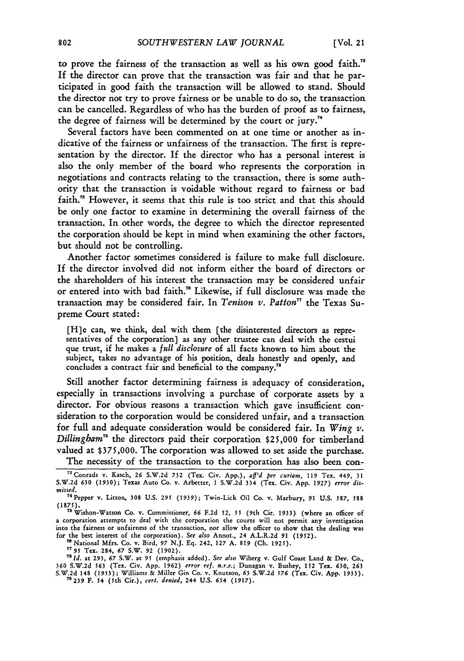to prove the fairness of the transaction as well as his own good faith.<sup>78</sup> If the director can prove that the transaction was fair and that he participated in good faith the transaction will be allowed to stand. Should the director not try to prove fairness or be unable to do so, the transaction can be cancelled. Regardless of who has the burden of proof as to fairness, the degree of fairness will be determined by the court or jury."

Several factors have been commented on at one time or another as indicative of the fairness or unfairness of the transaction. The first is representation by the director. If the director who has a personal interest is also the only member of the board who represents the corporation in negotiations and contracts relating to the transaction, there is some authority that the transaction is voidable without regard to fairness or bad faith." However, it seems that this rule is too strict and that this should be only one factor to examine in determining the overall fairness of the transaction. In other words, the degree to which the director represented the corporation should be kept in mind when examining the other factors, but should not be controlling.

Another factor sometimes considered is failure to make full disclosure. If the director involved did not inform either the board of directors or the shareholders of his interest the transaction may be considered unfair or entered into with bad faith." Likewise, if full disclosure was made the transaction may be considered fair. In *Tenison v. Patton7* the Texas Supreme Court stated:

[H]e can, we think, deal with them [the disinterested directors as representatives of the corporation] as any other trustee can deal with the cestui que trust, if he makes a *full disclosure* of all facts known to him about the subject, takes no advantage of his position, deals honestly and openly, and concludes a contract fair and beneficial to the company.<sup>78</sup>

Still another factor determining fairness is adequacy of consideration, especially in transactions involving a purchase of corporate assets by a director. For obvious reasons a transaction which gave insufficient consideration to the corporation would be considered unfair, and a transaction for full and adequate consideration would be considered fair. In *Wing v. Dillingbam"* the directors paid their corporation \$25,000 for timberland valued at \$375,000. The corporation was allowed to set aside the purchase.

The necessity of the transaction to the corporation has also been con-

**360** S.W.2d 563 (Tex. Civ. App. 1962) *error ref. n.r.e.;* Dunagan v. Bushey, 152 Tex. **630, 263** S.W.2d 148 (1953); Williams & Miller Gin Co. v. Knutson, 63 S.W.2d *576* (Tex. Civ. App. 1933). "'239 F. 54 (5th Cir.), *cert. denied,* 244 U.S. 654 (1917).

<sup>&</sup>quot; Conrads v. Kasch, **26** S.W.2d **732** (Tex. Civ. App.), *aff'd per curiam,* **119** Tex. 449, **31** S.W.2d **630** (1930); Texas Auto Co. v. Arbetter, **I** S.W.2d 334 (Tex. Civ. App. **1927)** *error dismissed.* 74 Pepper v. Litton, **308 U.S. 295 (1939);** Twin-Lick Oil Co. v. Marbury, **91** U.S. *587, 588*

**<sup>(1875).</sup>** ' Wishon-Watson Co. v. Commissioner, **66** F.2d **52,** *55* (9th Cir. 1933) (where an officer of

a corporation attempts to deal with the corporation the courts will not permit any investigation into the fairness or unfairness of the transaction, nor allow the officer to show that the dealing was for the best interest of the corporation). See also Annot., 24 A.L.R.2d 91 (1952).<br><sup>76</sup> National Mfrs. Co. v. Bird, 97 N.J. Eq. 242, 127 A. 819 (Ch. 1925).<br><sup>77</sup> 95 Tex. 284, 67 S.W. 92 (1902).<br><sup>78</sup> Id. at 293, 67 S.W. at 9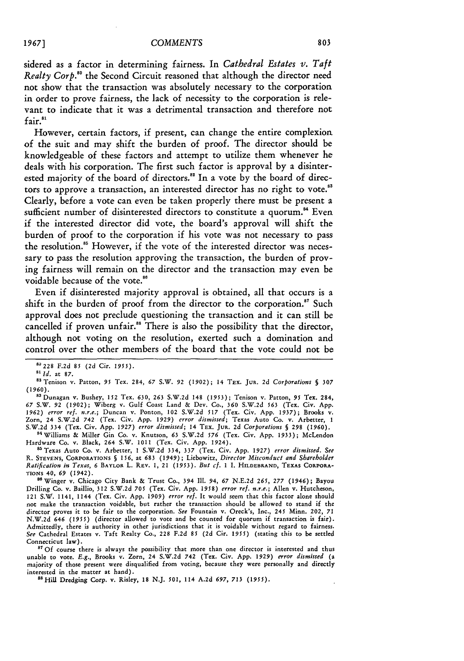sidered as a factor in determining fairness. In *Cathedral Estates V. Taft Realty Corp.8 "* the Second Circuit reasoned that although the director need not show that the transaction was absolutely necessary to the corporation in order to prove fairness, the lack of necessity to the corporation is relevant to indicate that it was a detrimental transaction and therefore not fair.<sup>81</sup>

However, certain factors, if present, can change the entire complexion of the suit and may shift the burden of proof. The director should be knowledgeable of these factors and attempt to utilize them whenever he deals with his corporation. The first such factor is approval by a disinterested majority of the board of directors.<sup>82</sup> In a vote by the board of directors to approve a transaction, an interested director has no right to vote.<sup>88</sup> Clearly, before a vote can even be taken properly there must be present a sufficient number of disinterested directors to constitute a quorum.<sup>84</sup> Even if the interested director did vote, the board's approval will shift the burden of proof to the corporation if his vote was not necessary to pass the resolution."5 However, if the vote of the interested director was necessary to pass the resolution approving the transaction, the burden of proving fairness will remain on the director and the transaction may even be voidable because of the vote.<sup>86</sup>

Even if disinterested majority approval is obtained, all that occurs is a shift in the burden of proof from the director to the corporation.<sup>87</sup> Such approval does not preclude questioning the transaction and it can still be cancelled if proven unfair.<sup>88</sup> There is also the possibility that the director, although not voting on the resolution, exerted such a domination and control over the other members of the board that the vote could not be

(1960). 83Dunagan v. Bushey, 152 Tex. 630, **263** S.W.2d 148 (1953); Tenison v. Patton, *95* Tex. 284, *67* S.W. 92 (1902); Wiberg v. Gulf Coast Land & Dev. Co., **360** S.W.2d **563** (Tex. Civ. App. 1962) *error ref. n.r.e.;* Duncan v. Ponton, 102 S.W.2d *517* (Tex. Civ. App. 1937); Brooks v. Zorn, 24 S.W.2d 742 (Tex. Civ. App. *1929) error dismissed;* Texas Auto Co. v. Arbetter, 1 S.W.2d 334 (Tex. Civ. App. *1927) error dismissed;* 14 TEX. JuR. 2d *Corporations §* 298 (1960).

84Williams & Miller Gin *Co.* v. Knutson, **63** S.W.2d **576** (Tex. Civ. App. 1933); McLendon Hardware Co. v. Black, 264 S.W. 1011 (Tex. Civ. App. 1924).

"Texas Auto Co. v. Arbetter, **I** S.W.2d 334, 337 (Tex. Civ. App. *1927) error dismissed. See* R. **STEVENS,** CORPORATIONS **§** 156, at 683 (1949); Liebowitz, *Director Misconduct and Shareholder Ratification in Texas, 6* **BAYLOR** L. REV. **1,** 21 (1953). *Bnt cf.* 1 I. **HILDEBRAND, TEXAS CORPORA-**TIONS 40, **69** (1942).

86 Winger v. Chicago City Bank & Trust Co., 394 Ill. 94, 67 N.E.2d 265, 277 (1946); Bayou Drilling Co. v. Baillio, 312 S.W.2d 705 (Tex. Civ. App. *1958) error ref. n.r.e.;* Allen v. Hutcheson, 121 S.W. 1141, 1144 (Tex. Civ. App. *1909) error ref.* It would seem that this factor alone should not make the transaction voidable, but rather the transaction should be allowed to stand if the director proves it to be fair to the corporation. *See* Fountain v. Oreck's, Inc., 245 Minn. 202, 71 N.W.2d 646 *(1955)* (director allowed to vote and be counted for quorum if transaction is fair). Admittedly, there is authority in other jurisdictions that it is voidable without regard to fairness. *See* Cathedral Estates v. Taft Realty Co., 228 F.2d 85 (2d Cir. 1955) (stating this to be settled Connecticut law).

<sup>87</sup> Of course there is always the possibility that more than one director is interested and thus unable to vote. *E.g.,* Brooks v. Zorn, 24 S.W.2d 742 (Tex. Civ. App. 1929) *error dismissed* (a majority of those present were disqualified from voting, because they were personally and directly interested in the matter at hand)

Hill Dredging Corp. v. Risley, **18** N.J. 501, 114 A.2d **697,** *713 (1955).*

**<sup>8&#</sup>x27; <sup>2</sup> <sup>2</sup> <sup>8</sup>F.2d** 85 (2d Cir. *1955).*

**<sup>81</sup>***Id.* at **87.**

<sup>85</sup>Tenison v. Patton, *95* Tex. 284, **67** S.W. **92** (1902); 14 TEX. Jus. 2d *Corporations § 307*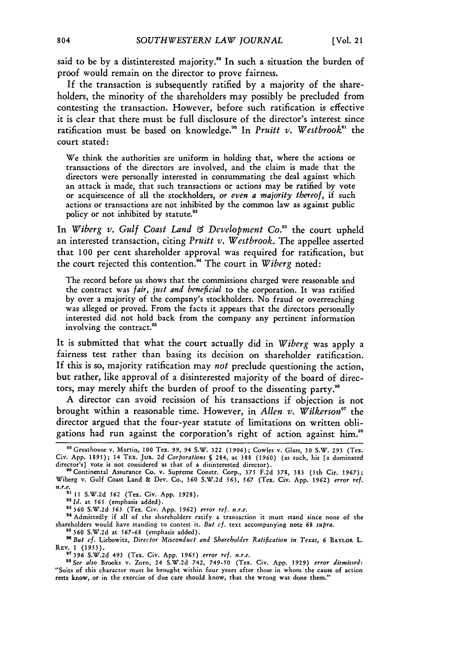said **to** be **by a** distinterested majority." In such a situation the burden of proof would remain on the director to prove fairness.

**If** the transaction is subsequently ratified by a majority of the shareholders, the minority of the shareholders may possibly be precluded from contesting the transaction. However, before such ratification is effective it is clear that there must be full disclosure of the director's interest since ratification must be based on knowledge.<sup>90</sup> In *Pruitt v. Westbrook*<sup>91</sup> the court stated:

We think the authorities are uniform in holding that, where the actions or transactions of the directors are involved, and the claim is made that the directors were personally interested in consummating the deal against which an attack is made, that such transactions or actions may be ratified by vote or acquiescence of all the stockholders, *or even a majority thereof,* **if** such actions or transactions are not inhibited by the common law as against public policy or not inhibited by statute.<sup>92</sup>

In *Wiberg v. Gulf Coast Land & Development Co.*<sup>33</sup> the court upheld an interested transaction, citing *Pruitt v. Westbrook.* The appellee asserted that **100** per cent shareholder approval was required for ratification, but the court rejected this contention." The court in *Wiberg* noted:

The record before us shows that the commissions charged were reasonable and the contract was *fair, just and beneficial* to the corporation. It was ratified by over a majority of the company's stockholders. No fraud or overreaching was alleged or proved. From the facts it appears that the directors personally interested did not hold back from the company any pertinent information involving the contract.<sup>95</sup>

It is submitted that what the court actually did in *Wiberg* was apply a fairness test rather than basing its decision on shareholder ratification. If this is so, majority ratification may *not* preclude questioning the action, but rather, like approval of a disinterested majority of the board of directors, may merely shift the burden of proof to the dissenting party."

A director can avoid recission of his transactions if objection is not brought within a reasonable time. However, in *Allen v. Wilkerson"7* the director argued that the four-year statute of limitations on written obligations had run against the corporation's right of action against him."

**s9** Greathouse v. Martin, **100** Tex. *99,* **94** S.W. **322 (1906);** Cowles v. Glass, 30 S.W. **293** (Tex. Civ. App. 1895); 14 TEx. JuR. 2d *Corporations §* 284, at 388 *(1960)* (as such, his [a dominated

director's] vote is not considered as that of a disinterested director).<br><sup>80</sup> Continental Assurance Co. v. Supreme Constr. Corp., 375 F.2d 378, 383 (5th Cir. 1967);<br>Wiberg v. Gulf Coast Land & Dev. Co., 360 S.W.2d 563, 567 *n.r.e.* <sup>91</sup> 11 S.W.2d 562 (Tex. Civ. App. 1928).<br><sup>92</sup> Id. at 565 (emphasis added).<br><sup>93</sup> 360 S.W.2d 563 (Tex. Civ. App. 1962) error ref. n.r.e.

<sup>&</sup>lt;sup>94</sup> Admittedly if all of the shareholders ratify a transaction it must stand since none of the shareholders would have standing to contest it. *But cf.* text accompanying note 68 *supra*.<br><sup>95</sup> 360 S.W.2d at 567-68 (emphasis added).

*HBut cf.* Liebowitz, *Director Misconduct and Shareholder Ratification in Texas,* **6 BAYLOR L. REv.** 1 **(1953).** *"* **396** S.W.2d 493 (Tex. Civ. App. *1965) error ref. n.r.e. <sup>9</sup>*

*SSee also* Brooks v. Zorn, 24 S.W.2d 742, **749-50** (Tex. Civ. App. 1929) *error dismissed:* "Suits of this character must be brought within four years after those in whom the cause **of** action rests know, or in the exercise of due care should know, that the wrong was done them."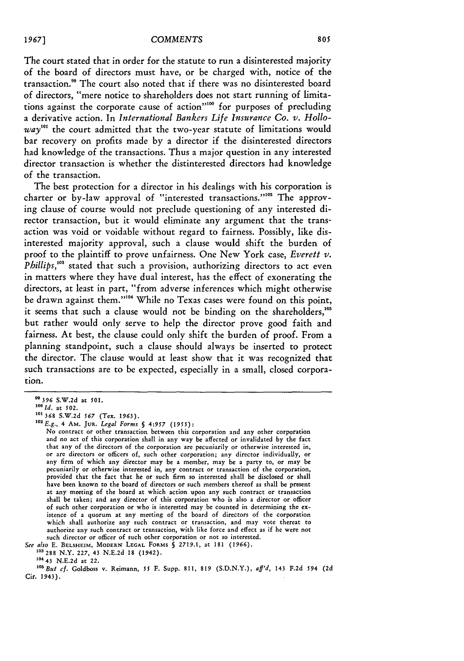The court stated that in order for the statute to run a disinterested majority of the board of directors must have, or be charged with, notice of the transaction." The court also noted that if there was no disinterested board of directors, "mere notice to shareholders does not start running of limitations against the corporate cause of action"" for purposes of precluding a derivative action. In *International Bankers Life Insurance Co. v. Hollo* $way<sup>101</sup>$  the court admitted that the two-year statute of limitations would bar recovery on profits made by a director if the disinterested directors had knowledge of the transactions. Thus a major question in any interested director transaction is whether the distinterested directors had knowledge of the transaction.

The best protection for a director in his dealings with his corporation is charter or by-law approval of "interested transactions."<sup>102</sup> The approving clause of course would not preclude questioning of any interested director transaction, but it would eliminate any argument that the transaction was void or voidable without regard to fairness. Possibly, like disinterested majority approval, such a clause would shift the burden of proof to the plaintiff to prove unfairness. One New York case, *Everett v. Phillips*,<sup>103</sup> stated that such a provision, authorizing directors to act even in matters where they have dual interest, has the effect of exonerating the directors, at least in part, "from adverse inferences which might otherwise be drawn against them."<sup>104</sup> While no Texas cases were found on this point, it seems that such a clause would not be binding on the shareholders,' but rather would only serve to help the director prove good faith and fairness. At best, the clause could only shift the burden of proof. From a planning standpoint, such a clause should always be inserted to protect the director. The clause would at least show that it was recognized that such transactions are to be expected, especially in a small, closed corporation.

See also E. **BELSHEIM,** MODERN **LEGAL FORMS** § **2719.1,** at 181 **(1966).**

**"03** 288 N.Y. 227, 43 N.E.2d 18 (1942).

*<sup>&</sup>quot;396* S.W.2d at *501.*

*<sup>100</sup> Id.* at 502.

**<sup>0&#</sup>x27; 368** S.W.2d *567* (Tex. 1963). **<sup>102</sup>***E.g.,* 4 Am. **JUR.** *Legal Forms § 4:957 (1955):*

No contract or other transaction between this corporation and any other corporation and no act of this corporation shall in any way be affected or invalidated by the fact that any of the directors of the corporation are pecuniarily or otherwise interested in, or are directors or officers of, such other corporation; any director individually, or any firm of which any director may be a member, may be a party to, or may be pecuniarily or otherwise interested in, any contract or transaction of the corporation, provided that the fact that he or such firm so interested shall be disclosed or shall have been known to the board of directors or such members thereof as shall be present at any meeting of the board at which action upon any such contract or transaction shall be taken; and any director of this corporation who is also a director or officer of such other corporation or who is interested may be counted in determining the existence of a quorum at any meeting of the board of directors of the corporation which shall authorize any such contract or transaction, and may vote thereat to authorize any such contract or transaction, with like force and effect as if he were not such director or officer of such other corporation or not so interested.

**<sup>104</sup> 43** N.E.2d at 22.

*<sup>&</sup>quot;But cf.* Goldboss v. Reimann, **55** F. Supp. 811, **819** (S.D.N.Y.), *aff'd,* 143 **F.2d** 594 (2d Cir. 1943).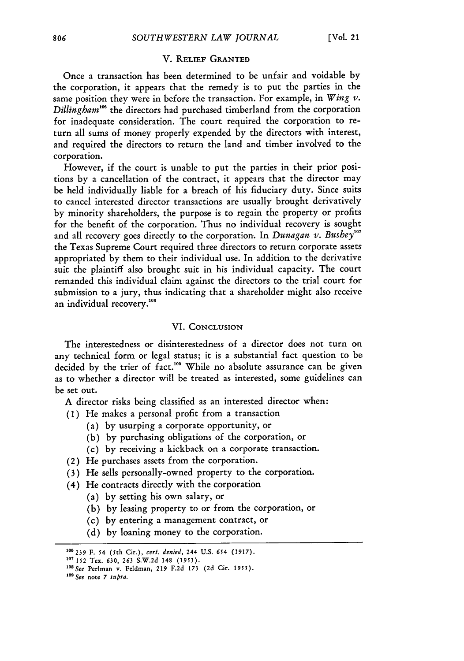#### V. RELIEF **GRANTED**

Once a transaction has been determined to be unfair and voidable by the corporation, it appears that the remedy is to put the parties in the same position they were in before the transaction. For example, in *Wing v. Dillingham'o* the directors had purchased timberland from the corporation for inadequate consideration. The court required the corporation to return all sums of money properly expended by the directors with interest, and required the directors to return the land and timber involved to the corporation.

However, if the court is unable to put the parties in their prior positions by a cancellation of the contract, it appears that the director may be held individually liable for a breach of his fiduciary duty. Since suits to cancel interested director transactions are usually brought derivatively by minority shareholders, the purpose is to regain the property or profits for the benefit of the corporation. Thus no individual recovery is sought and all recovery goes directly to the corporation. In *Dunagan v. Bushey*<sup>107</sup> the Texas Supreme Court required three directors to return corporate assets appropriated by them to their individual use. In addition to the derivative suit the plaintiff also brought suit in his individual capacity. The court remanded this individual claim against the directors to the trial court for submission to a jury, thus indicating that a shareholder might also receive an individual recovery.<sup>108</sup>

#### VI. CONCLUSION

The interestedness or disinterestedness of a director does not turn on any technical form or legal status; it is a substantial fact question to **be** decided by the trier of fact.<sup>109</sup> While no absolute assurance can be given as to whether a director will be treated as interested, some guidelines can be set out.

A director risks being classified as an interested director when:

- (1) He makes a personal profit from a transaction
	- (a) by usurping a corporate opportunity, or
	- (b) by purchasing obligations of the corporation, or
	- (c) by receiving a kickback on a corporate transaction.
- (2) He purchases assets from the corporation.
- **(3)** He sells personally-owned property to the corporation.
- (4) He contracts directly with the corporation
	- (a) by setting his own salary, or
	- (b) by leasing property to or from the corporation, or
	- (c) by entering a management contract, or
	- **(d)** by loaning money to the corporation.

**<sup>100239</sup>** F. 54 (5th Cir.), *cert. denied,* 244 U.S. 654 (1917).

**<sup>07</sup>** 152 Tex. **630, 263** S.W.2d 148 (1953).

**<sup>1..</sup>** *See* Perlman v. Feldman, **219** F.2d **173** (2d Cir. 1955).

**<sup>109</sup>***See* note *7 supra.*